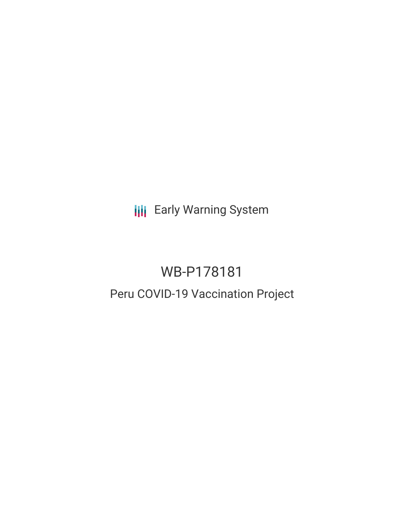**III** Early Warning System

# WB-P178181 Peru COVID-19 Vaccination Project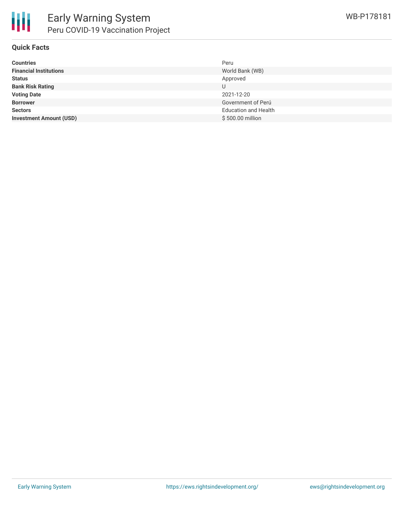

## **Quick Facts**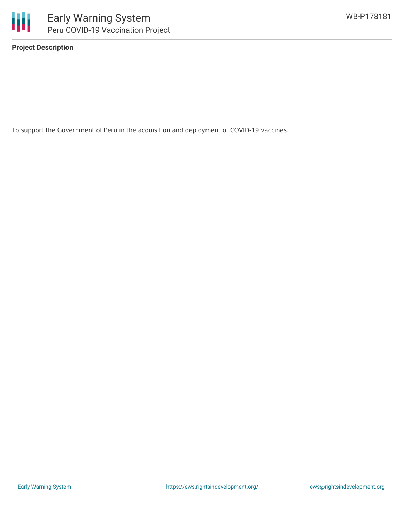

**Project Description**

To support the Government of Peru in the acquisition and deployment of COVID-19 vaccines.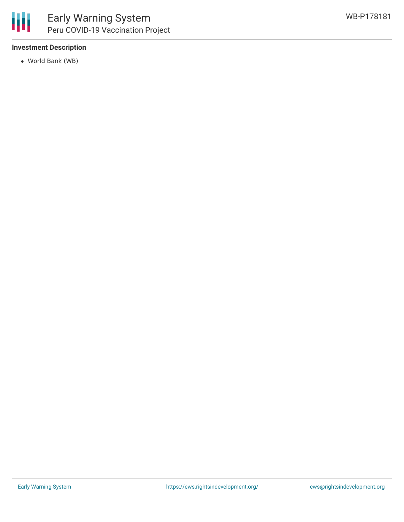## **Investment Description**

World Bank (WB)